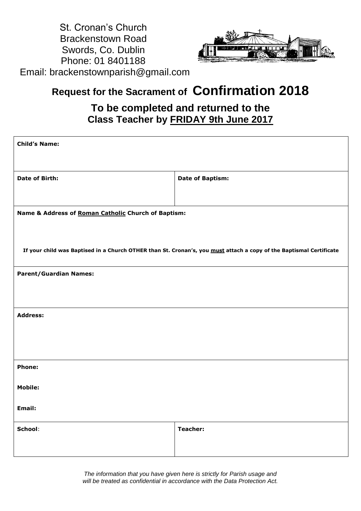



# **Request for the Sacrament of Confirmation 2018**

## **To be completed and returned to the Class Teacher by FRIDAY 9th June 2017**

| <b>Child's Name:</b>                                                                                                |                         |
|---------------------------------------------------------------------------------------------------------------------|-------------------------|
| Date of Birth:                                                                                                      | <b>Date of Baptism:</b> |
| Name & Address of Roman Catholic Church of Baptism:                                                                 |                         |
| If your child was Baptised in a Church OTHER than St. Cronan's, you must attach a copy of the Baptismal Certificate |                         |
| <b>Parent/Guardian Names:</b>                                                                                       |                         |
| <b>Address:</b>                                                                                                     |                         |
| Phone:                                                                                                              |                         |
| <b>Mobile:</b>                                                                                                      |                         |
| Email:                                                                                                              |                         |
| School:                                                                                                             | Teacher:                |

*The information that you have given here is strictly for Parish usage and will be treated as confidential in accordance with the Data Protection Act.*